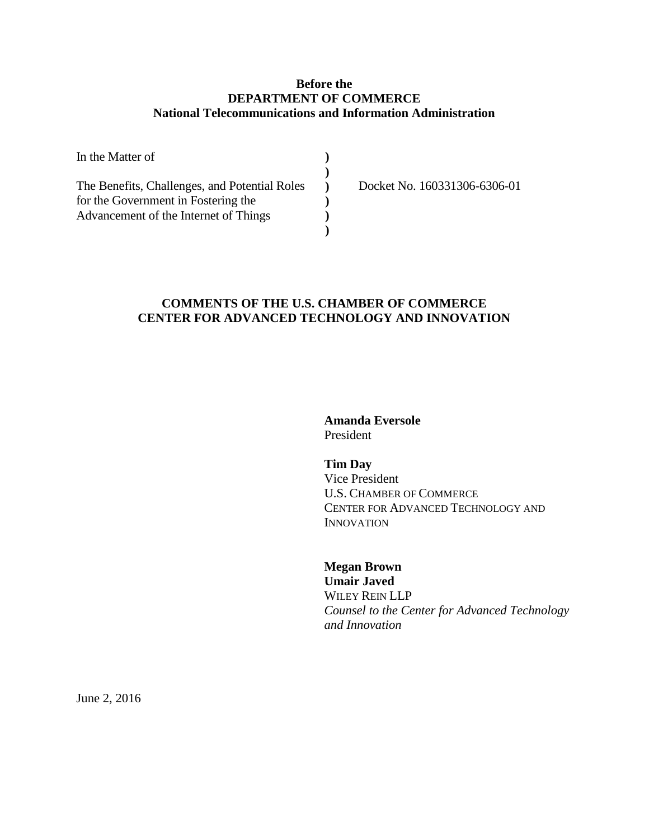# **Before the DEPARTMENT OF COMMERCE National Telecommunications and Information Administration**

| In the Matter of                              |                              |
|-----------------------------------------------|------------------------------|
|                                               |                              |
| The Benefits, Challenges, and Potential Roles | Docket No. 160331306-6306-01 |
| for the Government in Fostering the           |                              |
| Advancement of the Internet of Things         |                              |
|                                               |                              |

# **COMMENTS OF THE U.S. CHAMBER OF COMMERCE CENTER FOR ADVANCED TECHNOLOGY AND INNOVATION**

**Amanda Eversole** President

**Tim Day** Vice President U.S. CHAMBER OF COMMERCE CENTER FOR ADVANCED TECHNOLOGY AND INNOVATION

**Megan Brown Umair Javed** WILEY REIN LLP *Counsel to the Center for Advanced Technology and Innovation*

June 2, 2016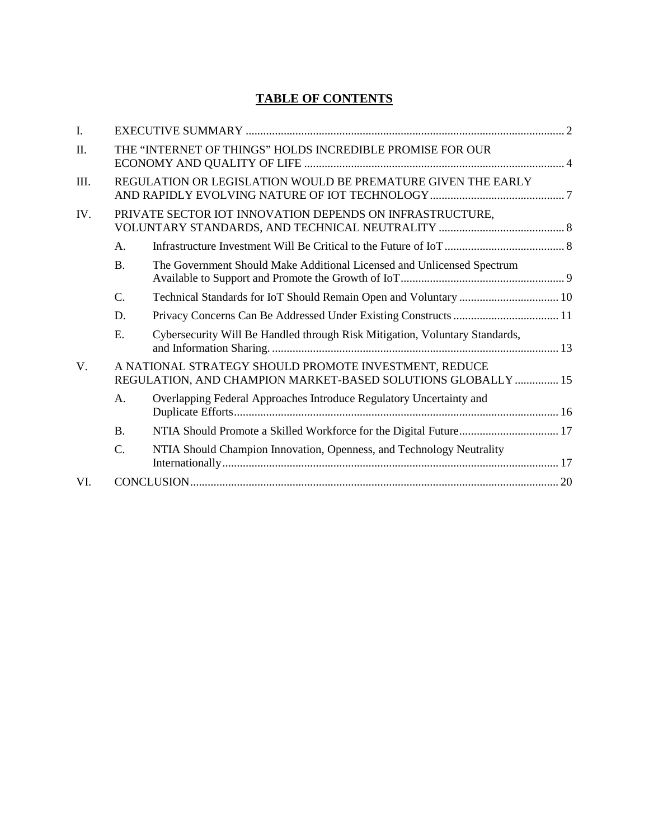# **TABLE OF CONTENTS**

| I.          |                                                              |                                                                                                                       |  |
|-------------|--------------------------------------------------------------|-----------------------------------------------------------------------------------------------------------------------|--|
| Π.          |                                                              | THE "INTERNET OF THINGS" HOLDS INCREDIBLE PROMISE FOR OUR                                                             |  |
| Ш.          | REGULATION OR LEGISLATION WOULD BE PREMATURE GIVEN THE EARLY |                                                                                                                       |  |
| IV.         |                                                              | PRIVATE SECTOR IOT INNOVATION DEPENDS ON INFRASTRUCTURE,                                                              |  |
|             | A.                                                           |                                                                                                                       |  |
|             | <b>B.</b>                                                    | The Government Should Make Additional Licensed and Unlicensed Spectrum                                                |  |
|             | $C$ .                                                        |                                                                                                                       |  |
|             | D.                                                           |                                                                                                                       |  |
|             | E.                                                           | Cybersecurity Will Be Handled through Risk Mitigation, Voluntary Standards,                                           |  |
| $V_{\cdot}$ |                                                              | A NATIONAL STRATEGY SHOULD PROMOTE INVESTMENT, REDUCE<br>REGULATION, AND CHAMPION MARKET-BASED SOLUTIONS GLOBALLY  15 |  |
|             | A.                                                           | Overlapping Federal Approaches Introduce Regulatory Uncertainty and                                                   |  |
|             | <b>B.</b>                                                    |                                                                                                                       |  |
|             | $\mathcal{C}$ .                                              | NTIA Should Champion Innovation, Openness, and Technology Neutrality                                                  |  |
| VI.         |                                                              |                                                                                                                       |  |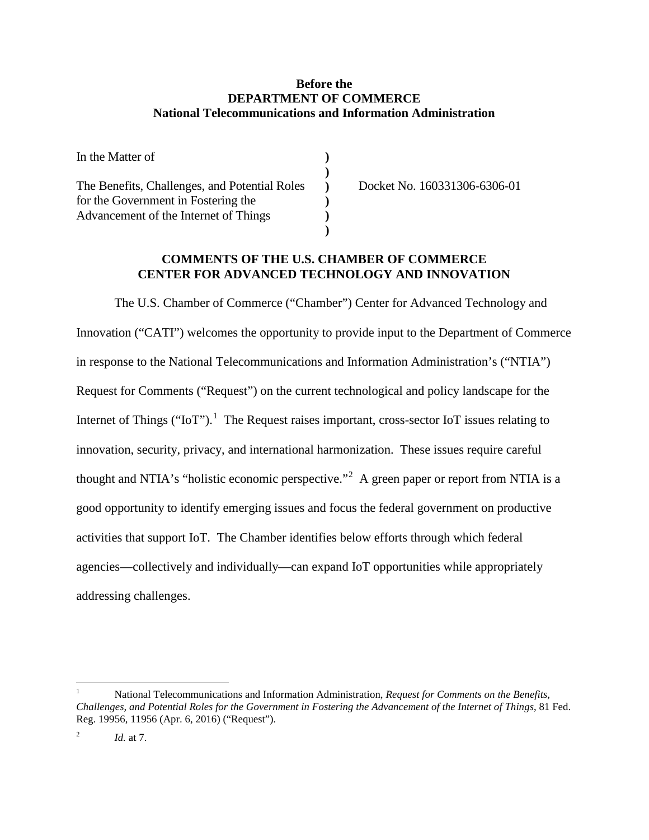#### **Before the DEPARTMENT OF COMMERCE National Telecommunications and Information Administration**

| In the Matter of                              |  |
|-----------------------------------------------|--|
|                                               |  |
| The Benefits, Challenges, and Potential Roles |  |
| for the Government in Fostering the           |  |
| Advancement of the Internet of Things         |  |
|                                               |  |

Docket No. 160331306-6306-01

#### **COMMENTS OF THE U.S. CHAMBER OF COMMERCE CENTER FOR ADVANCED TECHNOLOGY AND INNOVATION**

The U.S. Chamber of Commerce ("Chamber") Center for Advanced Technology and Innovation ("CATI") welcomes the opportunity to provide input to the Department of Commerce in response to the National Telecommunications and Information Administration's ("NTIA") Request for Comments ("Request") on the current technological and policy landscape for the Internet of Things ("IoT").<sup>[1](#page-2-0)</sup> The Request raises important, cross-sector IoT issues relating to innovation, security, privacy, and international harmonization. These issues require careful thought and NTIA's "holistic economic perspective."<sup>[2](#page-2-1)</sup> A green paper or report from NTIA is a good opportunity to identify emerging issues and focus the federal government on productive activities that support IoT. The Chamber identifies below efforts through which federal agencies—collectively and individually—can expand IoT opportunities while appropriately addressing challenges.

<span id="page-2-0"></span> <sup>1</sup> National Telecommunications and Information Administration, *Request for Comments on the Benefits, Challenges, and Potential Roles for the Government in Fostering the Advancement of the Internet of Things*, 81 Fed. Reg. 19956, 11956 (Apr. 6, 2016) ("Request").

<span id="page-2-1"></span><sup>&</sup>lt;sup>2</sup>  $Id$  at 7.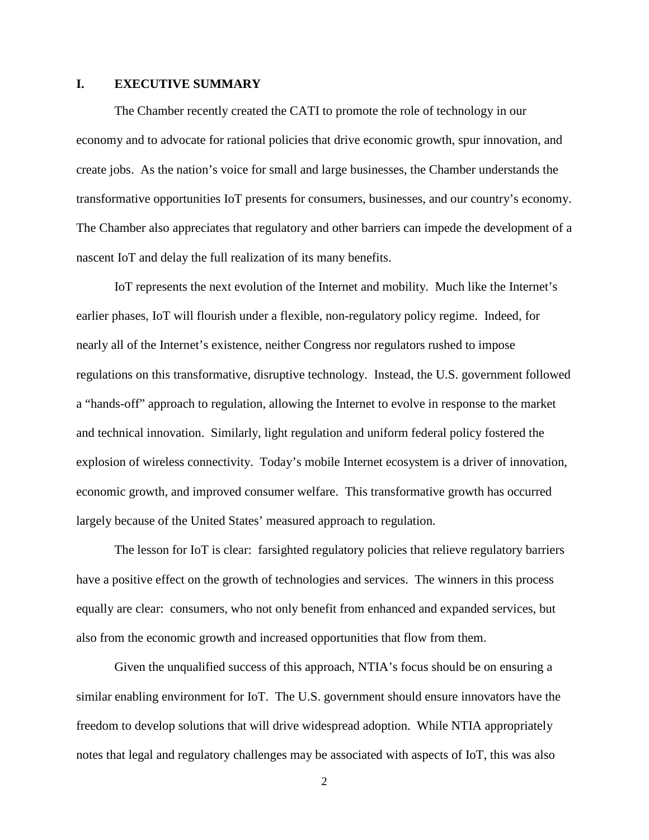#### <span id="page-3-0"></span>**I. EXECUTIVE SUMMARY**

The Chamber recently created the CATI to promote the role of technology in our economy and to advocate for rational policies that drive economic growth, spur innovation, and create jobs. As the nation's voice for small and large businesses, the Chamber understands the transformative opportunities IoT presents for consumers, businesses, and our country's economy. The Chamber also appreciates that regulatory and other barriers can impede the development of a nascent IoT and delay the full realization of its many benefits.

IoT represents the next evolution of the Internet and mobility. Much like the Internet's earlier phases, IoT will flourish under a flexible, non-regulatory policy regime. Indeed, for nearly all of the Internet's existence, neither Congress nor regulators rushed to impose regulations on this transformative, disruptive technology. Instead, the U.S. government followed a "hands-off" approach to regulation, allowing the Internet to evolve in response to the market and technical innovation. Similarly, light regulation and uniform federal policy fostered the explosion of wireless connectivity. Today's mobile Internet ecosystem is a driver of innovation, economic growth, and improved consumer welfare. This transformative growth has occurred largely because of the United States' measured approach to regulation.

The lesson for IoT is clear: farsighted regulatory policies that relieve regulatory barriers have a positive effect on the growth of technologies and services. The winners in this process equally are clear: consumers, who not only benefit from enhanced and expanded services, but also from the economic growth and increased opportunities that flow from them.

Given the unqualified success of this approach, NTIA's focus should be on ensuring a similar enabling environment for IoT. The U.S. government should ensure innovators have the freedom to develop solutions that will drive widespread adoption. While NTIA appropriately notes that legal and regulatory challenges may be associated with aspects of IoT, this was also

2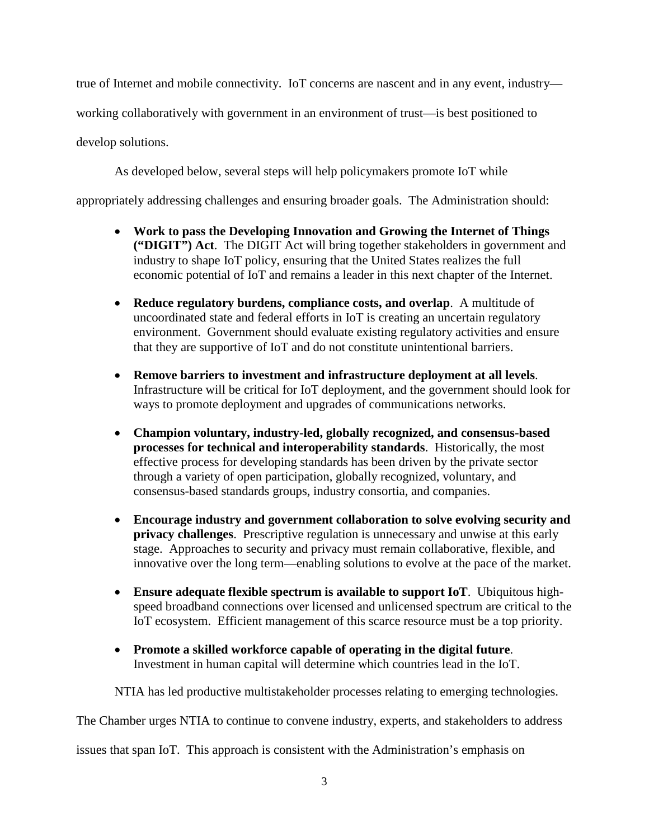true of Internet and mobile connectivity. IoT concerns are nascent and in any event, industry—

working collaboratively with government in an environment of trust—is best positioned to

develop solutions.

As developed below, several steps will help policymakers promote IoT while

appropriately addressing challenges and ensuring broader goals. The Administration should:

- **Work to pass the Developing Innovation and Growing the Internet of Things ("DIGIT") Act**. The DIGIT Act will bring together stakeholders in government and industry to shape IoT policy, ensuring that the United States realizes the full economic potential of IoT and remains a leader in this next chapter of the Internet.
- **Reduce regulatory burdens, compliance costs, and overlap**. A multitude of uncoordinated state and federal efforts in IoT is creating an uncertain regulatory environment. Government should evaluate existing regulatory activities and ensure that they are supportive of IoT and do not constitute unintentional barriers.
- **Remove barriers to investment and infrastructure deployment at all levels**. Infrastructure will be critical for IoT deployment, and the government should look for ways to promote deployment and upgrades of communications networks.
- **Champion voluntary, industry-led, globally recognized, and consensus-based processes for technical and interoperability standards**. Historically, the most effective process for developing standards has been driven by the private sector through a variety of open participation, globally recognized, voluntary, and consensus-based standards groups, industry consortia, and companies.
- **Encourage industry and government collaboration to solve evolving security and privacy challenges**. Prescriptive regulation is unnecessary and unwise at this early stage. Approaches to security and privacy must remain collaborative, flexible, and innovative over the long term—enabling solutions to evolve at the pace of the market.
- **Ensure adequate flexible spectrum is available to support IoT**. Ubiquitous highspeed broadband connections over licensed and unlicensed spectrum are critical to the IoT ecosystem. Efficient management of this scarce resource must be a top priority.
- **Promote a skilled workforce capable of operating in the digital future**. Investment in human capital will determine which countries lead in the IoT.

NTIA has led productive multistakeholder processes relating to emerging technologies.

The Chamber urges NTIA to continue to convene industry, experts, and stakeholders to address

issues that span IoT. This approach is consistent with the Administration's emphasis on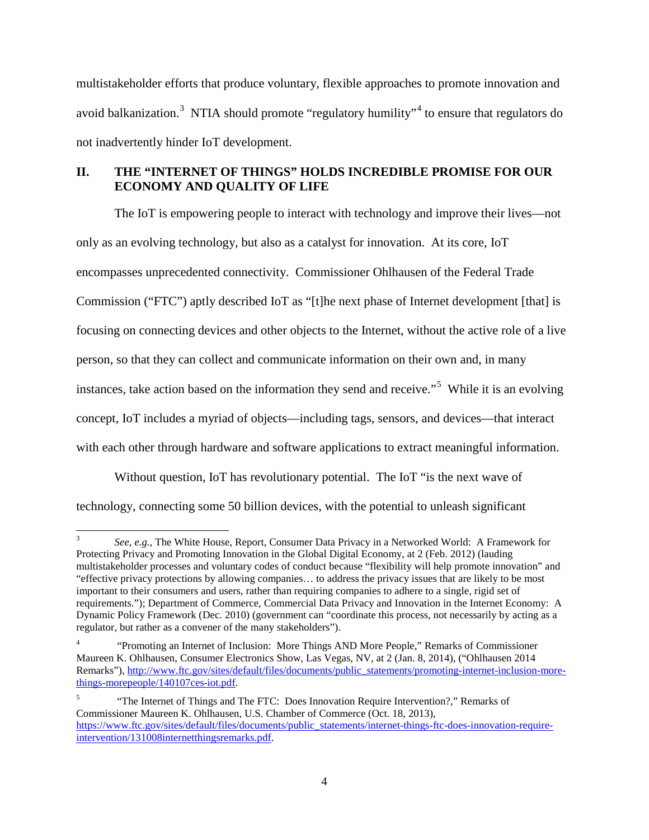multistakeholder efforts that produce voluntary, flexible approaches to promote innovation and avoid balkanization.<sup>[3](#page-5-1)</sup> NTIA should promote "regulatory humility"<sup>[4](#page-5-2)</sup> to ensure that regulators do not inadvertently hinder IoT development.

# <span id="page-5-0"></span>**II. THE "INTERNET OF THINGS" HOLDS INCREDIBLE PROMISE FOR OUR ECONOMY AND QUALITY OF LIFE**

The IoT is empowering people to interact with technology and improve their lives—not only as an evolving technology, but also as a catalyst for innovation. At its core, IoT encompasses unprecedented connectivity. Commissioner Ohlhausen of the Federal Trade Commission ("FTC") aptly described IoT as "[t]he next phase of Internet development [that] is focusing on connecting devices and other objects to the Internet, without the active role of a live person, so that they can collect and communicate information on their own and, in many instances, take action based on the information they send and receive."<sup>[5](#page-5-3)</sup> While it is an evolving concept, IoT includes a myriad of objects—including tags, sensors, and devices—that interact with each other through hardware and software applications to extract meaningful information.

Without question, IoT has revolutionary potential. The IoT "is the next wave of technology, connecting some 50 billion devices, with the potential to unleash significant

<span id="page-5-1"></span> <sup>3</sup> *See, e.g.*, The White House, Report, Consumer Data Privacy in a Networked World: A Framework for Protecting Privacy and Promoting Innovation in the Global Digital Economy, at 2 (Feb. 2012) (lauding multistakeholder processes and voluntary codes of conduct because "flexibility will help promote innovation" and "effective privacy protections by allowing companies… to address the privacy issues that are likely to be most important to their consumers and users, rather than requiring companies to adhere to a single, rigid set of requirements."); Department of Commerce, Commercial Data Privacy and Innovation in the Internet Economy: A Dynamic Policy Framework (Dec. 2010) (government can "coordinate this process, not necessarily by acting as a regulator, but rather as a convener of the many stakeholders").

<span id="page-5-2"></span><sup>4</sup> "Promoting an Internet of Inclusion: More Things AND More People," Remarks of Commissioner Maureen K. Ohlhausen, Consumer Electronics Show, Las Vegas, NV, at 2 (Jan. 8, 2014), ("Ohlhausen 2014 Remarks"), http://www.ftc.gov/sites/default/files/documents/public\_statements/promoting-internet-inclusion-morethings-morepeople/140107ces-iot.pdf.

<span id="page-5-3"></span><sup>5</sup> "The Internet of Things and The FTC: Does Innovation Require Intervention?," Remarks of Commissioner Maureen K. Ohlhausen, U.S. Chamber of Commerce (Oct. 18, 2013), https://www.ftc.gov/sites/default/files/documents/public\_statements/internet-things-ftc-does-innovation-requireintervention/131008internetthingsremarks.pdf.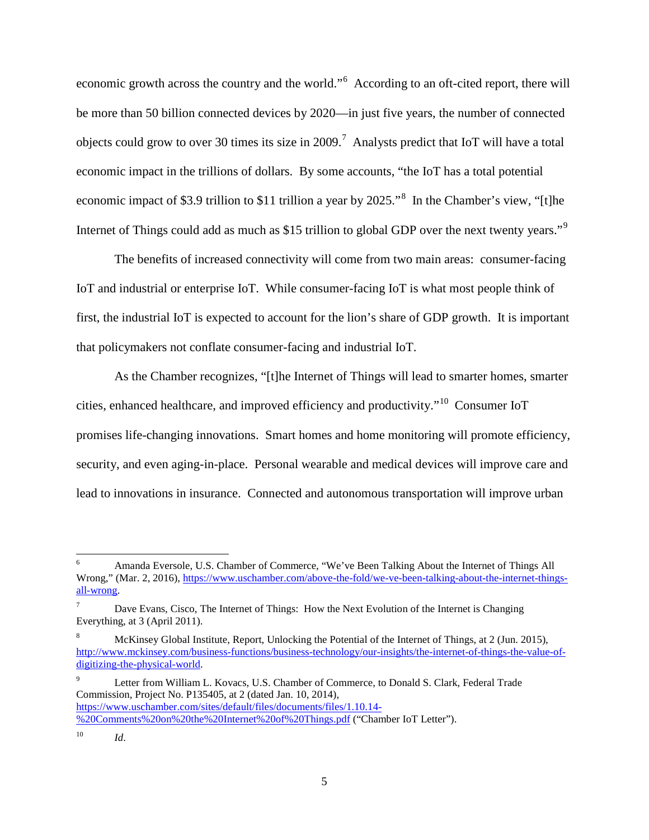economic growth across the country and the world."<sup>[6](#page-6-0)</sup> According to an oft-cited report, there will be more than 50 billion connected devices by 2020—in just five years, the number of connected objects could grow to over 30 times its size in 2009.<sup>[7](#page-6-1)</sup> Analysts predict that IoT will have a total economic impact in the trillions of dollars. By some accounts, "the IoT has a total potential economic impact of \$3.9 trillion to \$11 trillion a year by 2025."<sup>[8](#page-6-2)</sup> In the Chamber's view, "[t]he Internet of Things could add as much as \$15 trillion to global GDP over the next twenty years."<sup>[9](#page-6-3)</sup>

The benefits of increased connectivity will come from two main areas: consumer-facing IoT and industrial or enterprise IoT. While consumer-facing IoT is what most people think of first, the industrial IoT is expected to account for the lion's share of GDP growth. It is important that policymakers not conflate consumer-facing and industrial IoT.

As the Chamber recognizes, "[t]he Internet of Things will lead to smarter homes, smarter cities, enhanced healthcare, and improved efficiency and productivity."[10](#page-6-4) Consumer IoT promises life-changing innovations. Smart homes and home monitoring will promote efficiency, security, and even aging-in-place. Personal wearable and medical devices will improve care and lead to innovations in insurance. Connected and autonomous transportation will improve urban

<span id="page-6-3"></span><sup>9</sup> Letter from William L. Kovacs, U.S. Chamber of Commerce, to Donald S. Clark, Federal Trade Commission, Project No. P135405, at 2 (dated Jan. 10, 2014), https://www.uschamber.com/sites/default/files/documents/files/1.10.14- %20Comments%20on%20the%20Internet%20of%20Things.pdf ("Chamber IoT Letter").

<span id="page-6-0"></span> <sup>6</sup> Amanda Eversole, U.S. Chamber of Commerce, "We've Been Talking About the Internet of Things All Wrong," (Mar. 2, 2016), https://www.uschamber.com/above-the-fold/we-ve-been-talking-about-the-internet-thingsall-wrong.

<span id="page-6-1"></span>Dave Evans, Cisco, The Internet of Things: How the Next Evolution of the Internet is Changing Everything, at 3 (April 2011).

<span id="page-6-2"></span><sup>8</sup> McKinsey Global Institute, Report, Unlocking the Potential of the Internet of Things, at 2 (Jun. 2015), http://www.mckinsey.com/business-functions/business-technology/our-insights/the-internet-of-things-the-value-ofdigitizing-the-physical-world.

<span id="page-6-4"></span><sup>10</sup> *Id*.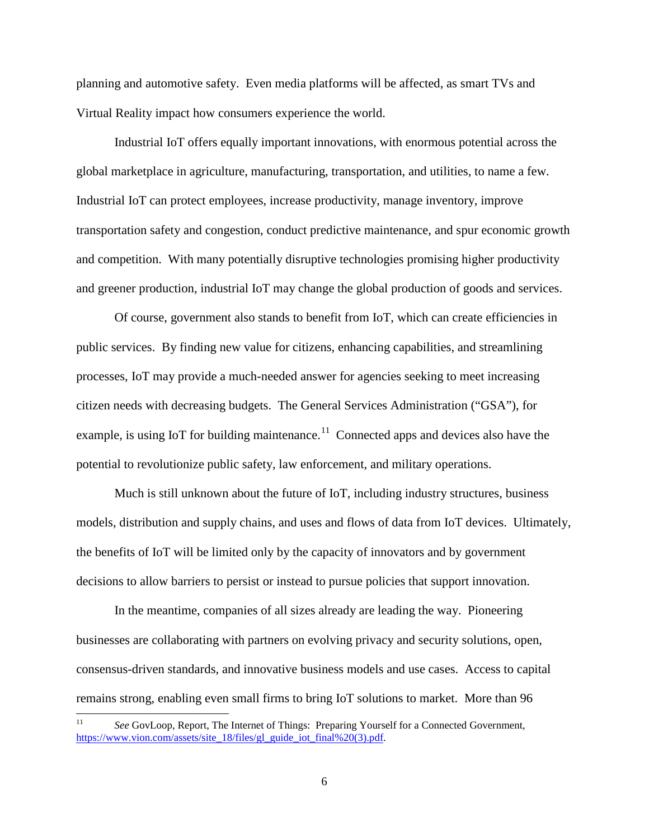planning and automotive safety. Even media platforms will be affected, as smart TVs and Virtual Reality impact how consumers experience the world.

Industrial IoT offers equally important innovations, with enormous potential across the global marketplace in agriculture, manufacturing, transportation, and utilities, to name a few. Industrial IoT can protect employees, increase productivity, manage inventory, improve transportation safety and congestion, conduct predictive maintenance, and spur economic growth and competition. With many potentially disruptive technologies promising higher productivity and greener production, industrial IoT may change the global production of goods and services.

Of course, government also stands to benefit from IoT, which can create efficiencies in public services. By finding new value for citizens, enhancing capabilities, and streamlining processes, IoT may provide a much-needed answer for agencies seeking to meet increasing citizen needs with decreasing budgets. The General Services Administration ("GSA"), for example, is using IoT for building maintenance.<sup>[11](#page-7-0)</sup> Connected apps and devices also have the potential to revolutionize public safety, law enforcement, and military operations.

Much is still unknown about the future of IoT, including industry structures, business models, distribution and supply chains, and uses and flows of data from IoT devices. Ultimately, the benefits of IoT will be limited only by the capacity of innovators and by government decisions to allow barriers to persist or instead to pursue policies that support innovation.

In the meantime, companies of all sizes already are leading the way. Pioneering businesses are collaborating with partners on evolving privacy and security solutions, open, consensus-driven standards, and innovative business models and use cases. Access to capital remains strong, enabling even small firms to bring IoT solutions to market. More than 96

<span id="page-7-0"></span> <sup>11</sup> *See* GovLoop, Report, The Internet of Things: Preparing Yourself for a Connected Government, https://www.vion.com/assets/site\_18/files/gl\_guide\_iot\_final%20(3).pdf.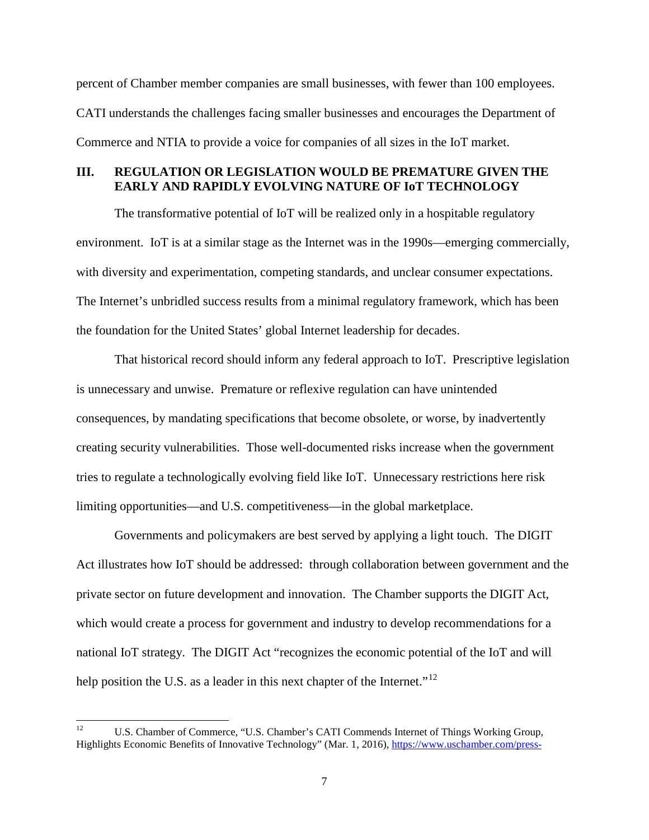percent of Chamber member companies are small businesses, with fewer than 100 employees. CATI understands the challenges facing smaller businesses and encourages the Department of Commerce and NTIA to provide a voice for companies of all sizes in the IoT market.

# <span id="page-8-0"></span>**III. REGULATION OR LEGISLATION WOULD BE PREMATURE GIVEN THE EARLY AND RAPIDLY EVOLVING NATURE OF IoT TECHNOLOGY**

The transformative potential of IoT will be realized only in a hospitable regulatory environment. IoT is at a similar stage as the Internet was in the 1990s—emerging commercially, with diversity and experimentation, competing standards, and unclear consumer expectations. The Internet's unbridled success results from a minimal regulatory framework, which has been the foundation for the United States' global Internet leadership for decades.

That historical record should inform any federal approach to IoT. Prescriptive legislation is unnecessary and unwise. Premature or reflexive regulation can have unintended consequences, by mandating specifications that become obsolete, or worse, by inadvertently creating security vulnerabilities. Those well-documented risks increase when the government tries to regulate a technologically evolving field like IoT. Unnecessary restrictions here risk limiting opportunities—and U.S. competitiveness—in the global marketplace.

Governments and policymakers are best served by applying a light touch. The DIGIT Act illustrates how IoT should be addressed: through collaboration between government and the private sector on future development and innovation. The Chamber supports the DIGIT Act, which would create a process for government and industry to develop recommendations for a national IoT strategy. The DIGIT Act "recognizes the economic potential of the IoT and will help position the U.S. as a leader in this next chapter of the Internet."<sup>[12](#page-8-1)</sup>

<span id="page-8-1"></span><sup>&</sup>lt;sup>12</sup> U.S. Chamber of Commerce, "U.S. Chamber's CATI Commends Internet of Things Working Group, Highlights Economic Benefits of Innovative Technology" (Mar. 1, 2016), https://www.uschamber.com/press-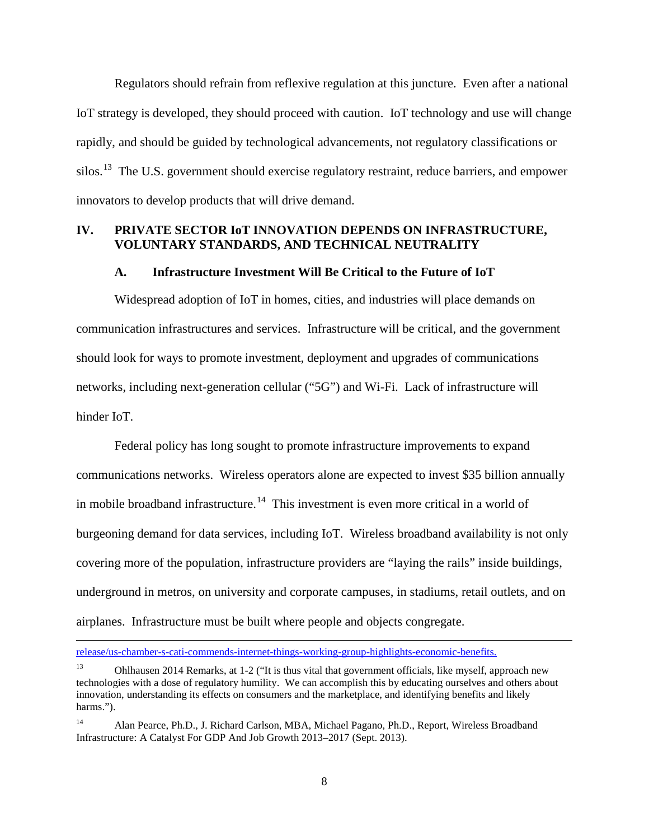Regulators should refrain from reflexive regulation at this juncture. Even after a national IoT strategy is developed, they should proceed with caution. IoT technology and use will change rapidly, and should be guided by technological advancements, not regulatory classifications or silos.<sup>13</sup> The U.S. government should exercise regulatory restraint, reduce barriers, and empower innovators to develop products that will drive demand.

#### <span id="page-9-0"></span>**IV. PRIVATE SECTOR IoT INNOVATION DEPENDS ON INFRASTRUCTURE, VOLUNTARY STANDARDS, AND TECHNICAL NEUTRALITY**

#### **A. Infrastructure Investment Will Be Critical to the Future of IoT**

<span id="page-9-1"></span>Widespread adoption of IoT in homes, cities, and industries will place demands on communication infrastructures and services. Infrastructure will be critical, and the government should look for ways to promote investment, deployment and upgrades of communications networks, including next-generation cellular ("5G") and Wi-Fi. Lack of infrastructure will hinder IoT.

Federal policy has long sought to promote infrastructure improvements to expand communications networks. Wireless operators alone are expected to invest \$35 billion annually in mobile broadband infrastructure.<sup>14</sup> This investment is even more critical in a world of burgeoning demand for data services, including IoT. Wireless broadband availability is not only covering more of the population, infrastructure providers are "laying the rails" inside buildings, underground in metros, on university and corporate campuses, in stadiums, retail outlets, and on airplanes. Infrastructure must be built where people and objects congregate.

 $\overline{a}$ 

release/us-chamber-s-cati-commends-internet-things-working-group-highlights-economic-benefits.

<span id="page-9-2"></span><sup>13</sup> Ohlhausen 2014 Remarks, at 1-2 ("It is thus vital that government officials, like myself, approach new technologies with a dose of regulatory humility. We can accomplish this by educating ourselves and others about innovation, understanding its effects on consumers and the marketplace, and identifying benefits and likely harms.").

<span id="page-9-3"></span><sup>14</sup> Alan Pearce, Ph.D., J. Richard Carlson, MBA, Michael Pagano, Ph.D., Report, Wireless Broadband Infrastructure: A Catalyst For GDP And Job Growth 2013–2017 (Sept. 2013).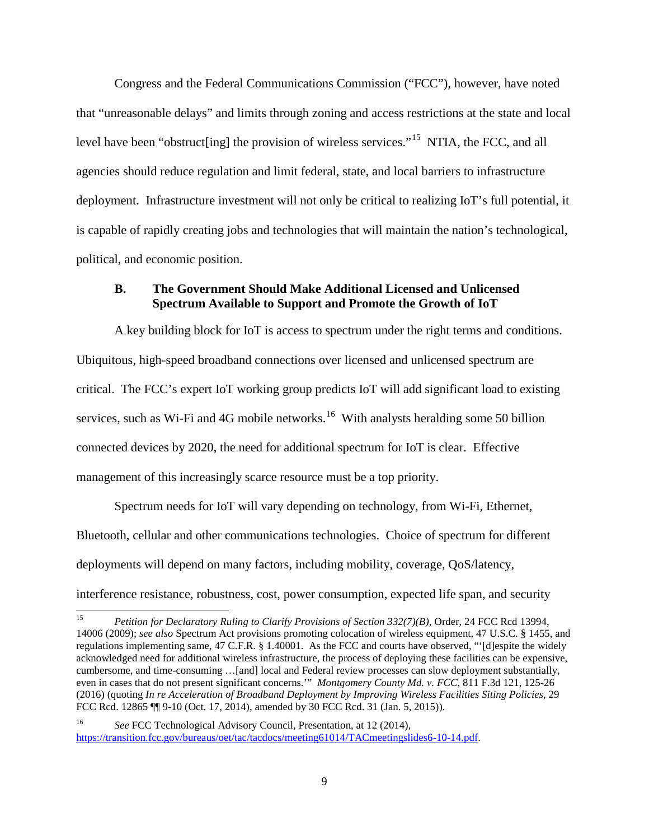Congress and the Federal Communications Commission ("FCC"), however, have noted that "unreasonable delays" and limits through zoning and access restrictions at the state and local level have been "obstruct [ing] the provision of wireless services."<sup>15</sup> NTIA, the FCC, and all agencies should reduce regulation and limit federal, state, and local barriers to infrastructure deployment. Infrastructure investment will not only be critical to realizing IoT's full potential, it is capable of rapidly creating jobs and technologies that will maintain the nation's technological, political, and economic position.

### <span id="page-10-0"></span>**B. The Government Should Make Additional Licensed and Unlicensed Spectrum Available to Support and Promote the Growth of IoT**

A key building block for IoT is access to spectrum under the right terms and conditions. Ubiquitous, high-speed broadband connections over licensed and unlicensed spectrum are critical. The FCC's expert IoT working group predicts IoT will add significant load to existing services, such as Wi-Fi and 4G mobile networks.<sup>[16](#page-10-2)</sup> With analysts heralding some 50 billion connected devices by 2020, the need for additional spectrum for IoT is clear. Effective management of this increasingly scarce resource must be a top priority.

Spectrum needs for IoT will vary depending on technology, from Wi-Fi, Ethernet, Bluetooth, cellular and other communications technologies. Choice of spectrum for different deployments will depend on many factors, including mobility, coverage, QoS/latency, interference resistance, robustness, cost, power consumption, expected life span, and security

<span id="page-10-1"></span> <sup>15</sup> *Petition for Declaratory Ruling to Clarify Provisions of Section 332(7)(B)*, Order, 24 FCC Rcd 13994, 14006 (2009); *see also* Spectrum Act provisions promoting colocation of wireless equipment, 47 U.S.C. § 1455, and regulations implementing same, 47 C.F.R. § 1.40001. As the FCC and courts have observed, "'[d]espite the widely acknowledged need for additional wireless infrastructure, the process of deploying these facilities can be expensive, cumbersome, and time-consuming …[and] local and Federal review processes can slow deployment substantially, even in cases that do not present significant concerns.'" *Montgomery County Md. v. FCC*, 811 F.3d 121, 125-26 (2016) (quoting *In re Acceleration of Broadband Deployment by Improving Wireless Facilities Siting Policies*, 29 FCC Rcd. 12865 ¶¶ 9-10 (Oct. 17, 2014), amended by 30 FCC Rcd. 31 (Jan. 5, 2015)).

<span id="page-10-2"></span><sup>16</sup> *See* FCC Technological Advisory Council, Presentation, at 12 (2014), https://transition.fcc.gov/bureaus/oet/tac/tacdocs/meeting61014/TACmeetingslides6-10-14.pdf.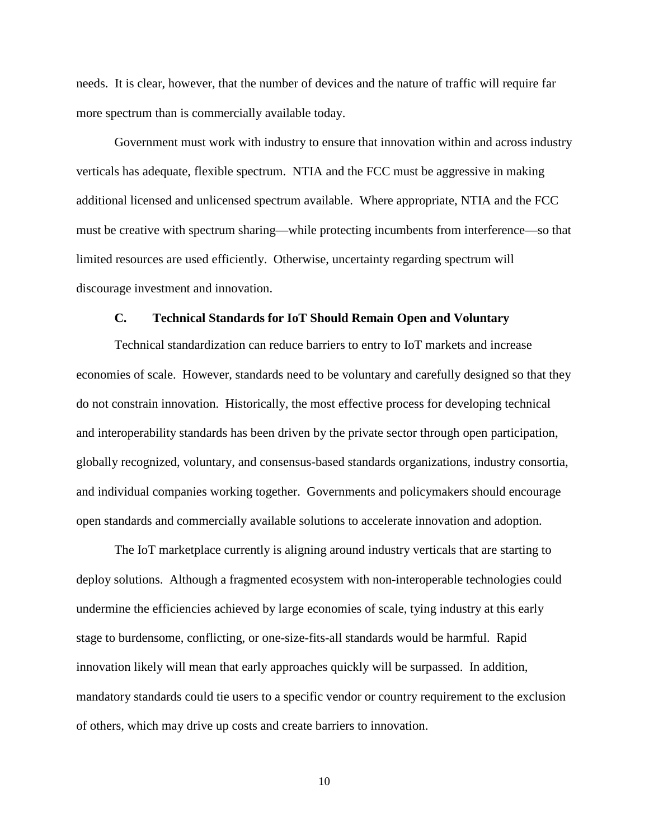needs. It is clear, however, that the number of devices and the nature of traffic will require far more spectrum than is commercially available today.

Government must work with industry to ensure that innovation within and across industry verticals has adequate, flexible spectrum. NTIA and the FCC must be aggressive in making additional licensed and unlicensed spectrum available. Where appropriate, NTIA and the FCC must be creative with spectrum sharing—while protecting incumbents from interference—so that limited resources are used efficiently. Otherwise, uncertainty regarding spectrum will discourage investment and innovation.

#### **C. Technical Standards for IoT Should Remain Open and Voluntary**

<span id="page-11-0"></span>Technical standardization can reduce barriers to entry to IoT markets and increase economies of scale. However, standards need to be voluntary and carefully designed so that they do not constrain innovation. Historically, the most effective process for developing technical and interoperability standards has been driven by the private sector through open participation, globally recognized, voluntary, and consensus-based standards organizations, industry consortia, and individual companies working together. Governments and policymakers should encourage open standards and commercially available solutions to accelerate innovation and adoption.

The IoT marketplace currently is aligning around industry verticals that are starting to deploy solutions. Although a fragmented ecosystem with non-interoperable technologies could undermine the efficiencies achieved by large economies of scale, tying industry at this early stage to burdensome, conflicting, or one-size-fits-all standards would be harmful. Rapid innovation likely will mean that early approaches quickly will be surpassed. In addition, mandatory standards could tie users to a specific vendor or country requirement to the exclusion of others, which may drive up costs and create barriers to innovation.

10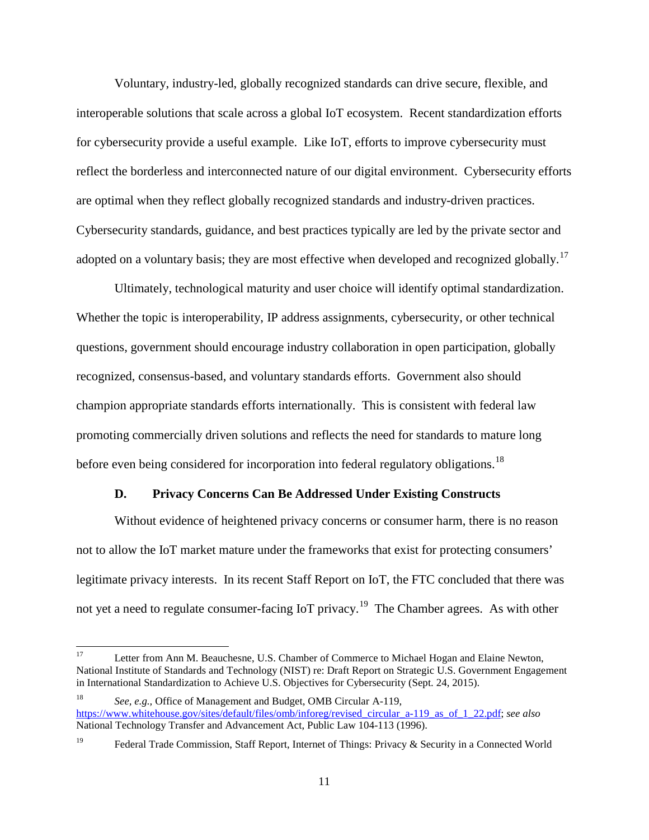Voluntary, industry-led, globally recognized standards can drive secure, flexible, and interoperable solutions that scale across a global IoT ecosystem. Recent standardization efforts for cybersecurity provide a useful example. Like IoT, efforts to improve cybersecurity must reflect the borderless and interconnected nature of our digital environment. Cybersecurity efforts are optimal when they reflect globally recognized standards and industry-driven practices. Cybersecurity standards, guidance, and best practices typically are led by the private sector and adopted on a voluntary basis; they are most effective when developed and recognized globally.<sup>[17](#page-12-1)</sup>

Ultimately, technological maturity and user choice will identify optimal standardization. Whether the topic is interoperability, IP address assignments, cybersecurity, or other technical questions, government should encourage industry collaboration in open participation, globally recognized, consensus-based, and voluntary standards efforts. Government also should champion appropriate standards efforts internationally. This is consistent with federal law promoting commercially driven solutions and reflects the need for standards to mature long before even being considered for incorporation into federal regulatory obligations.<sup>[18](#page-12-2)</sup>

#### **D. Privacy Concerns Can Be Addressed Under Existing Constructs**

<span id="page-12-0"></span>Without evidence of heightened privacy concerns or consumer harm, there is no reason not to allow the IoT market mature under the frameworks that exist for protecting consumers' legitimate privacy interests. In its recent Staff Report on IoT, the FTC concluded that there was not yet a need to regulate consumer-facing IoT privacy.<sup>19</sup> The Chamber agrees. As with other

<span id="page-12-1"></span><sup>&</sup>lt;sup>17</sup> Letter from Ann M. Beauchesne, U.S. Chamber of Commerce to Michael Hogan and Elaine Newton, National Institute of Standards and Technology (NIST) re: Draft Report on Strategic U.S. Government Engagement in International Standardization to Achieve U.S. Objectives for Cybersecurity (Sept. 24, 2015).

<span id="page-12-2"></span><sup>18</sup> *See, e.g.,* Office of Management and Budget, OMB Circular A-119, https://www.whitehouse.gov/sites/default/files/omb/inforeg/revised\_circular\_a-119\_as\_of\_1\_22.pdf; *see also* National Technology Transfer and Advancement Act, Public Law 104-113 (1996).

<span id="page-12-3"></span><sup>&</sup>lt;sup>19</sup> Federal Trade Commission, Staff Report, Internet of Things: Privacy & Security in a Connected World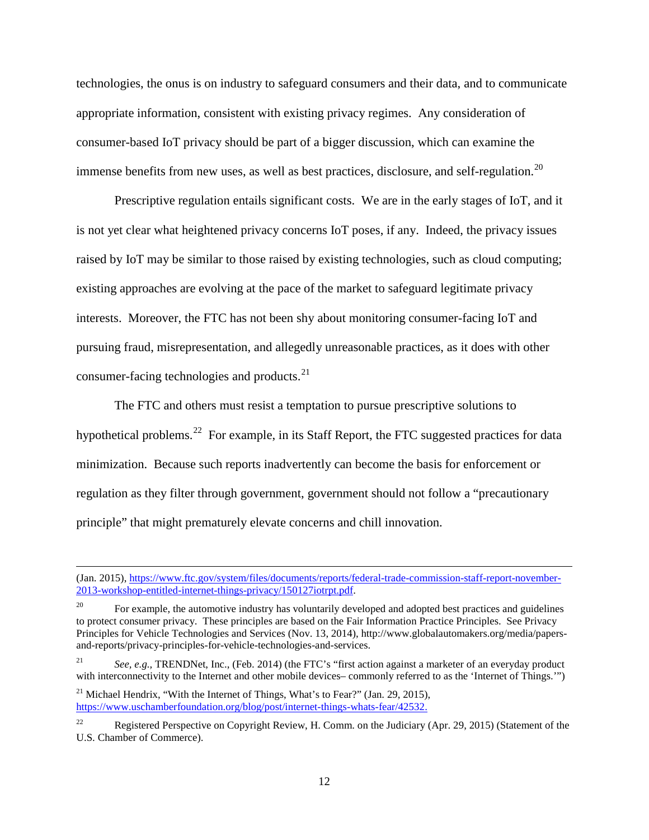technologies, the onus is on industry to safeguard consumers and their data, and to communicate appropriate information, consistent with existing privacy regimes. Any consideration of consumer-based IoT privacy should be part of a bigger discussion, which can examine the immense benefits from new uses, as well as best practices, disclosure, and self-regulation.<sup>[20](#page-13-0)</sup>

Prescriptive regulation entails significant costs. We are in the early stages of IoT, and it is not yet clear what heightened privacy concerns IoT poses, if any. Indeed, the privacy issues raised by IoT may be similar to those raised by existing technologies, such as cloud computing; existing approaches are evolving at the pace of the market to safeguard legitimate privacy interests. Moreover, the FTC has not been shy about monitoring consumer-facing IoT and pursuing fraud, misrepresentation, and allegedly unreasonable practices, as it does with other consumer-facing technologies and products.<sup>21</sup>

The FTC and others must resist a temptation to pursue prescriptive solutions to hypothetical problems.<sup>22</sup> For example, in its Staff Report, the FTC suggested practices for data minimization. Because such reports inadvertently can become the basis for enforcement or regulation as they filter through government, government should not follow a "precautionary principle" that might prematurely elevate concerns and chill innovation.

<sup>21</sup> Michael Hendrix, "With the Internet of Things, What's to Fear?" (Jan. 29, 2015), https://www.uschamberfoundation.org/blog/post/internet-things-whats-fear/42532.

 $\overline{a}$ 

<sup>(</sup>Jan. 2015), https://www.ftc.gov/system/files/documents/reports/federal-trade-commission-staff-report-november-2013-workshop-entitled-internet-things-privacy/150127iotrpt.pdf.

<span id="page-13-0"></span><sup>&</sup>lt;sup>20</sup> For example, the automotive industry has voluntarily developed and adopted best practices and guidelines to protect consumer privacy. These principles are based on the Fair Information Practice Principles. See Privacy Principles for Vehicle Technologies and Services (Nov. 13, 2014), http://www.globalautomakers.org/media/papersand-reports/privacy-principles-for-vehicle-technologies-and-services.

<span id="page-13-1"></span><sup>21</sup> *See, e.g.,* TRENDNet, Inc., (Feb. 2014) (the FTC's "first action against a marketer of an everyday product with interconnectivity to the Internet and other mobile devices– commonly referred to as the 'Internet of Things.'")

<span id="page-13-2"></span><sup>&</sup>lt;sup>22</sup> Registered Perspective on Copyright Review, H. Comm. on the Judiciary (Apr. 29, 2015) (Statement of the U.S. Chamber of Commerce).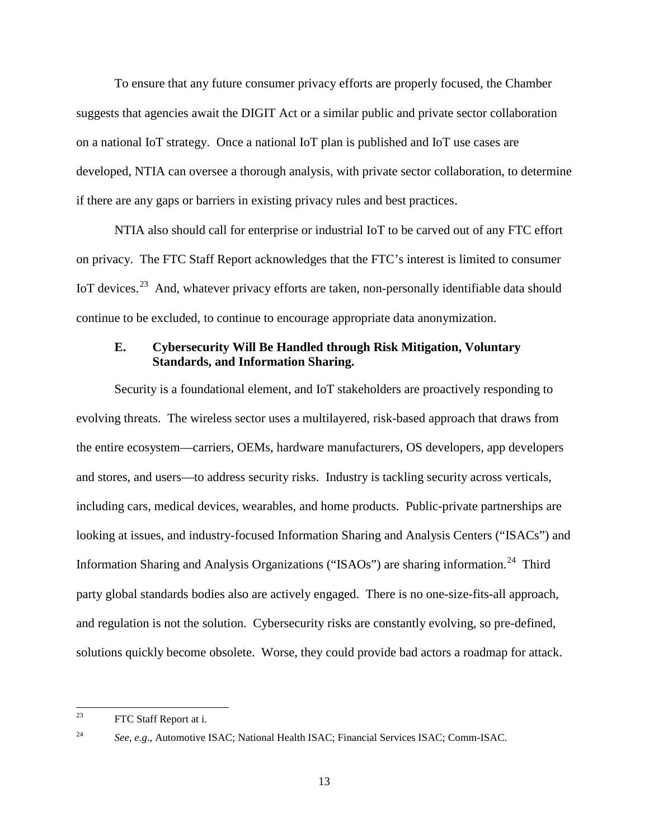To ensure that any future consumer privacy efforts are properly focused, the Chamber suggests that agencies await the DIGIT Act or a similar public and private sector collaboration on a national IoT strategy. Once a national IoT plan is published and IoT use cases are developed, NTIA can oversee a thorough analysis, with private sector collaboration, to determine if there are any gaps or barriers in existing privacy rules and best practices.

NTIA also should call for enterprise or industrial IoT to be carved out of any FTC effort on privacy. The FTC Staff Report acknowledges that the FTC's interest is limited to consumer IoT devices.<sup>[23](#page-14-1)</sup> And, whatever privacy efforts are taken, non-personally identifiable data should continue to be excluded, to continue to encourage appropriate data anonymization.

# <span id="page-14-0"></span>**E. Cybersecurity Will Be Handled through Risk Mitigation, Voluntary Standards, and Information Sharing.**

Security is a foundational element, and IoT stakeholders are proactively responding to evolving threats. The wireless sector uses a multilayered, risk-based approach that draws from the entire ecosystem—carriers, OEMs, hardware manufacturers, OS developers, app developers and stores, and users—to address security risks. Industry is tackling security across verticals, including cars, medical devices, wearables, and home products. Public-private partnerships are looking at issues, and industry-focused Information Sharing and Analysis Centers ("ISACs") and Information Sharing and Analysis Organizations ("ISAOs") are sharing information.<sup>24</sup> Third party global standards bodies also are actively engaged. There is no one-size-fits-all approach, and regulation is not the solution. Cybersecurity risks are constantly evolving, so pre-defined, solutions quickly become obsolete. Worse, they could provide bad actors a roadmap for attack.

<span id="page-14-1"></span><sup>&</sup>lt;sup>23</sup> FTC Staff Report at i.

<span id="page-14-2"></span><sup>24</sup> *See, e.g*., Automotive ISAC; National Health ISAC; Financial Services ISAC; Comm-ISAC.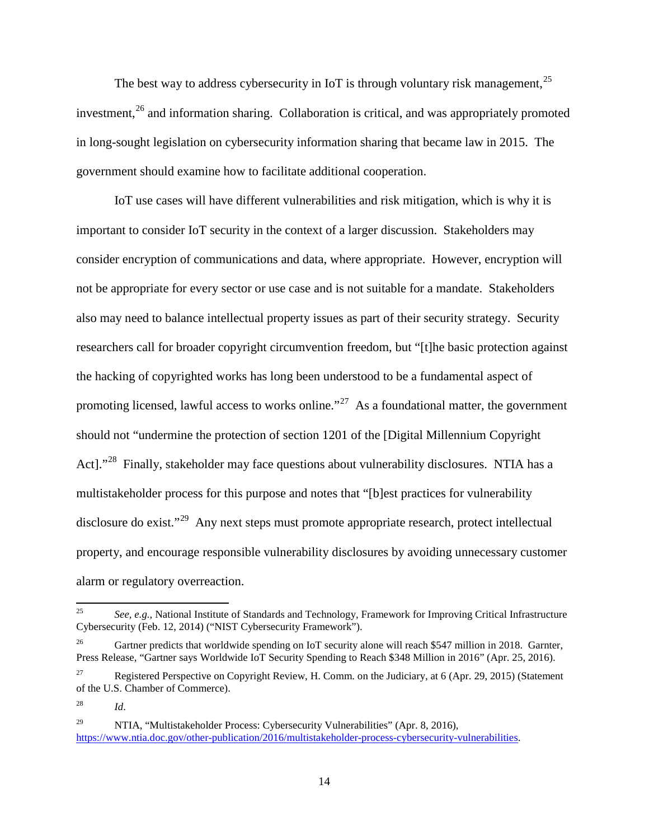The best way to address cybersecurity in IoT is through voluntary risk management,  $2^5$ investment, $^{26}$  $^{26}$  $^{26}$  and information sharing. Collaboration is critical, and was appropriately promoted in long-sought legislation on cybersecurity information sharing that became law in 2015. The government should examine how to facilitate additional cooperation.

IoT use cases will have different vulnerabilities and risk mitigation, which is why it is important to consider IoT security in the context of a larger discussion. Stakeholders may consider encryption of communications and data, where appropriate. However, encryption will not be appropriate for every sector or use case and is not suitable for a mandate. Stakeholders also may need to balance intellectual property issues as part of their security strategy. Security researchers call for broader copyright circumvention freedom, but "[t]he basic protection against the hacking of copyrighted works has long been understood to be a fundamental aspect of promoting licensed, lawful access to works online."<sup>[27](#page-15-2)</sup> As a foundational matter, the government should not "undermine the protection of section 1201 of the [Digital Millennium Copyright Act]."<sup>[28](#page-15-3)</sup> Finally, stakeholder may face questions about vulnerability disclosures. NTIA has a multistakeholder process for this purpose and notes that "[b]est practices for vulnerability disclosure do exist."<sup>[29](#page-15-4)</sup> Any next steps must promote appropriate research, protect intellectual property, and encourage responsible vulnerability disclosures by avoiding unnecessary customer alarm or regulatory overreaction.

<span id="page-15-0"></span> <sup>25</sup> *See, e.g.*, National Institute of Standards and Technology, Framework for Improving Critical Infrastructure Cybersecurity (Feb. 12, 2014) ("NIST Cybersecurity Framework").

<span id="page-15-1"></span><sup>26</sup> Gartner predicts that worldwide spending on IoT security alone will reach \$547 million in 2018. Garnter, Press Release, "Gartner says Worldwide IoT Security Spending to Reach \$348 Million in 2016" (Apr. 25, 2016).

<span id="page-15-2"></span><sup>&</sup>lt;sup>27</sup> Registered Perspective on Copyright Review, H. Comm. on the Judiciary, at 6 (Apr. 29, 2015) (Statement of the U.S. Chamber of Commerce).

<span id="page-15-3"></span><sup>28</sup> *Id*.

<span id="page-15-4"></span><sup>&</sup>lt;sup>29</sup> NTIA, "Multistakeholder Process: Cybersecurity Vulnerabilities" (Apr. 8, 2016), https://www.ntia.doc.gov/other-publication/2016/multistakeholder-process-cybersecurity-vulnerabilities.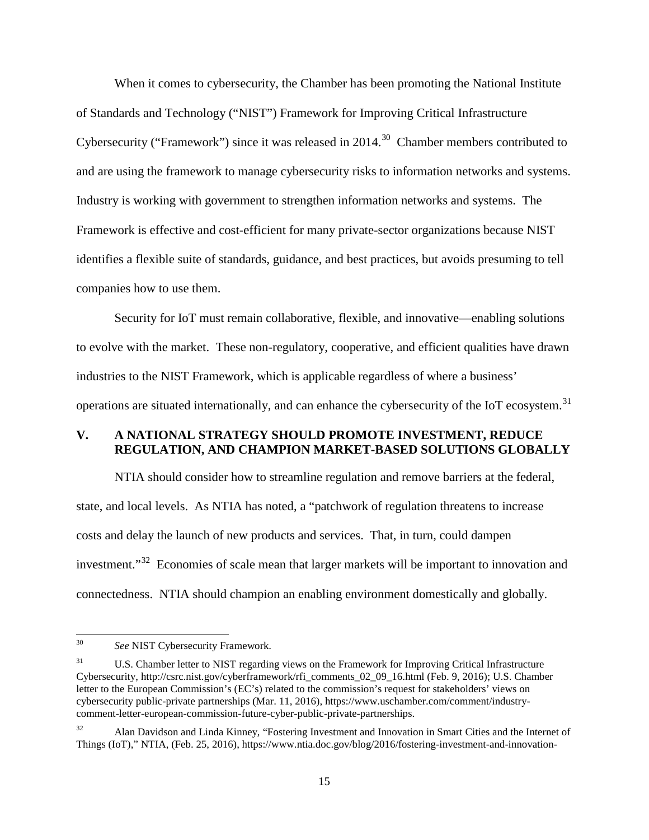When it comes to cybersecurity, the Chamber has been promoting the National Institute of Standards and Technology ("NIST") Framework for Improving Critical Infrastructure Cybersecurity ("Framework") since it was released in 2014.<sup>30</sup> Chamber members contributed to and are using the framework to manage cybersecurity risks to information networks and systems. Industry is working with government to strengthen information networks and systems. The Framework is effective and cost-efficient for many private-sector organizations because NIST identifies a flexible suite of standards, guidance, and best practices, but avoids presuming to tell companies how to use them.

Security for IoT must remain collaborative, flexible, and innovative—enabling solutions to evolve with the market. These non-regulatory, cooperative, and efficient qualities have drawn industries to the NIST Framework, which is applicable regardless of where a business' operations are situated internationally, and can enhance the cybersecurity of the IoT ecosystem.<sup>[31](#page-16-2)</sup>

### <span id="page-16-0"></span>**V. A NATIONAL STRATEGY SHOULD PROMOTE INVESTMENT, REDUCE REGULATION, AND CHAMPION MARKET-BASED SOLUTIONS GLOBALLY**

NTIA should consider how to streamline regulation and remove barriers at the federal, state, and local levels. As NTIA has noted, a "patchwork of regulation threatens to increase costs and delay the launch of new products and services. That, in turn, could dampen investment."<sup>32</sup> Economies of scale mean that larger markets will be important to innovation and connectedness. NTIA should champion an enabling environment domestically and globally.

<span id="page-16-1"></span> <sup>30</sup> *See* NIST Cybersecurity Framework.

<span id="page-16-2"></span><sup>&</sup>lt;sup>31</sup> U.S. Chamber letter to NIST regarding views on the Framework for Improving Critical Infrastructure Cybersecurity, http://csrc.nist.gov/cyberframework/rfi\_comments\_02\_09\_16.html (Feb. 9, 2016); U.S. Chamber letter to the European Commission's (EC's) related to the commission's request for stakeholders' views on cybersecurity public-private partnerships (Mar. 11, 2016), https://www.uschamber.com/comment/industrycomment-letter-european-commission-future-cyber-public-private-partnerships.

<span id="page-16-3"></span><sup>32</sup> Alan Davidson and Linda Kinney, "Fostering Investment and Innovation in Smart Cities and the Internet of Things (IoT)," NTIA, (Feb. 25, 2016), https://www.ntia.doc.gov/blog/2016/fostering-investment-and-innovation-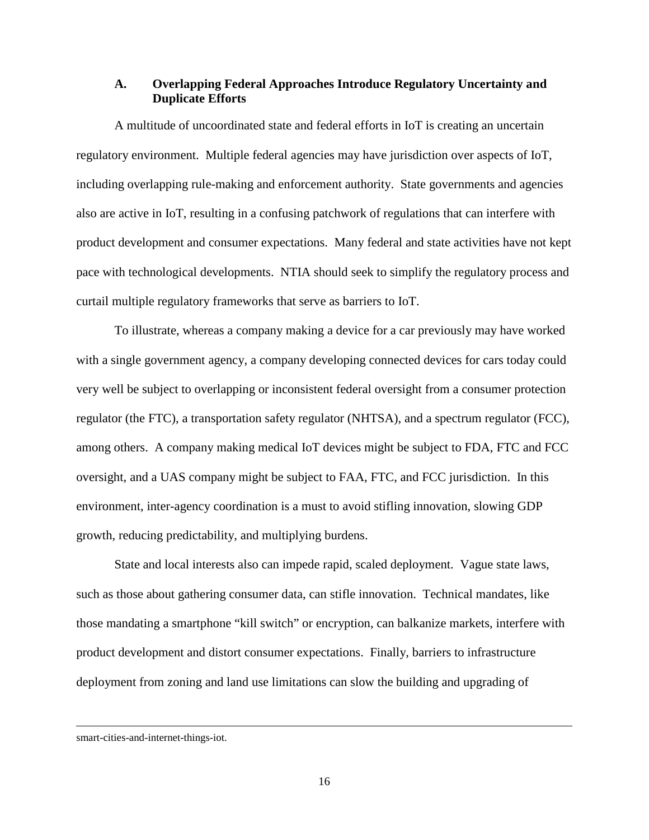#### <span id="page-17-0"></span>**A. Overlapping Federal Approaches Introduce Regulatory Uncertainty and Duplicate Efforts**

A multitude of uncoordinated state and federal efforts in IoT is creating an uncertain regulatory environment. Multiple federal agencies may have jurisdiction over aspects of IoT, including overlapping rule-making and enforcement authority. State governments and agencies also are active in IoT, resulting in a confusing patchwork of regulations that can interfere with product development and consumer expectations. Many federal and state activities have not kept pace with technological developments. NTIA should seek to simplify the regulatory process and curtail multiple regulatory frameworks that serve as barriers to IoT.

To illustrate, whereas a company making a device for a car previously may have worked with a single government agency, a company developing connected devices for cars today could very well be subject to overlapping or inconsistent federal oversight from a consumer protection regulator (the FTC), a transportation safety regulator (NHTSA), and a spectrum regulator (FCC), among others. A company making medical IoT devices might be subject to FDA, FTC and FCC oversight, and a UAS company might be subject to FAA, FTC, and FCC jurisdiction. In this environment, inter-agency coordination is a must to avoid stifling innovation, slowing GDP growth, reducing predictability, and multiplying burdens.

State and local interests also can impede rapid, scaled deployment. Vague state laws, such as those about gathering consumer data, can stifle innovation. Technical mandates, like those mandating a smartphone "kill switch" or encryption, can balkanize markets, interfere with product development and distort consumer expectations. Finally, barriers to infrastructure deployment from zoning and land use limitations can slow the building and upgrading of

 $\overline{a}$ 

smart-cities-and-internet-things-iot.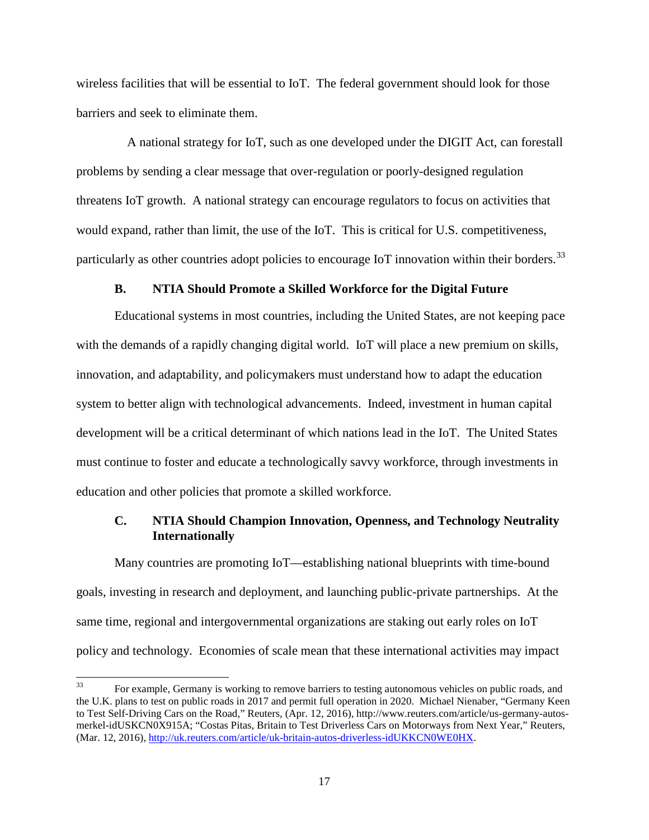wireless facilities that will be essential to IoT. The federal government should look for those barriers and seek to eliminate them.

 A national strategy for IoT, such as one developed under the DIGIT Act, can forestall problems by sending a clear message that over-regulation or poorly-designed regulation threatens IoT growth. A national strategy can encourage regulators to focus on activities that would expand, rather than limit, the use of the IoT. This is critical for U.S. competitiveness, particularly as other countries adopt policies to encourage IoT innovation within their borders.<sup>[33](#page-18-2)</sup>

#### **B. NTIA Should Promote a Skilled Workforce for the Digital Future**

<span id="page-18-0"></span>Educational systems in most countries, including the United States, are not keeping pace with the demands of a rapidly changing digital world. IoT will place a new premium on skills, innovation, and adaptability, and policymakers must understand how to adapt the education system to better align with technological advancements. Indeed, investment in human capital development will be a critical determinant of which nations lead in the IoT. The United States must continue to foster and educate a technologically savvy workforce, through investments in education and other policies that promote a skilled workforce.

# <span id="page-18-1"></span>**C. NTIA Should Champion Innovation, Openness, and Technology Neutrality Internationally**

Many countries are promoting IoT—establishing national blueprints with time-bound goals, investing in research and deployment, and launching public-private partnerships. At the same time, regional and intergovernmental organizations are staking out early roles on IoT policy and technology. Economies of scale mean that these international activities may impact

<span id="page-18-2"></span><sup>&</sup>lt;sup>33</sup> For example, Germany is working to remove barriers to testing autonomous vehicles on public roads, and the U.K. plans to test on public roads in 2017 and permit full operation in 2020. Michael Nienaber, "Germany Keen to Test Self-Driving Cars on the Road," Reuters, (Apr. 12, 2016), http://www.reuters.com/article/us-germany-autosmerkel-idUSKCN0X915A; "Costas Pitas, Britain to Test Driverless Cars on Motorways from Next Year," Reuters, (Mar. 12, 2016), http://uk.reuters.com/article/uk-britain-autos-driverless-idUKKCN0WE0HX.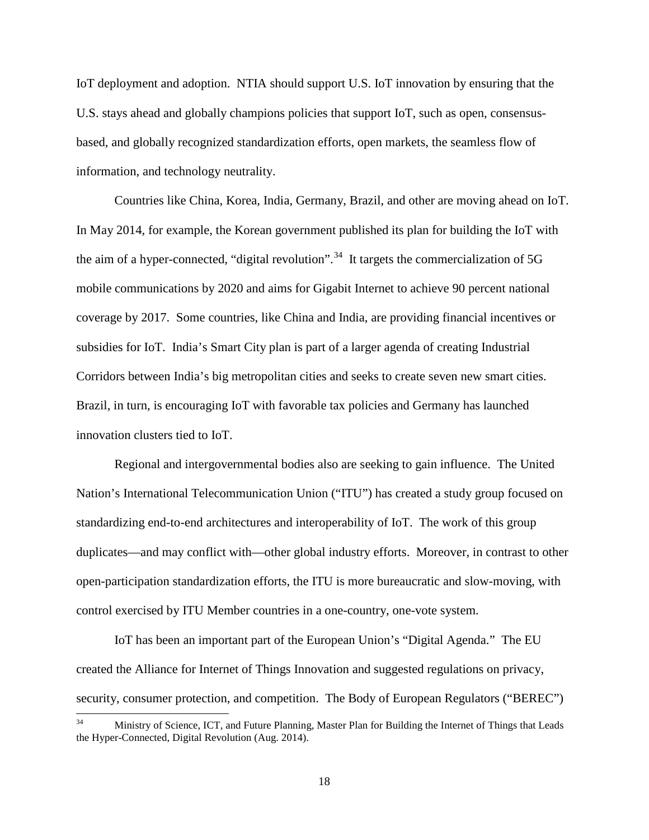IoT deployment and adoption. NTIA should support U.S. IoT innovation by ensuring that the U.S. stays ahead and globally champions policies that support IoT, such as open, consensusbased, and globally recognized standardization efforts, open markets, the seamless flow of information, and technology neutrality.

Countries like China, Korea, India, Germany, Brazil, and other are moving ahead on IoT. In May 2014, for example, the Korean government published its plan for building the IoT with the aim of a hyper-connected, "digital revolution".<sup>[34](#page-19-0)</sup> It targets the commercialization of 5G mobile communications by 2020 and aims for Gigabit Internet to achieve 90 percent national coverage by 2017. Some countries, like China and India, are providing financial incentives or subsidies for IoT. India's Smart City plan is part of a larger agenda of creating Industrial Corridors between India's big metropolitan cities and seeks to create seven new smart cities. Brazil, in turn, is encouraging IoT with favorable tax policies and Germany has launched innovation clusters tied to IoT.

Regional and intergovernmental bodies also are seeking to gain influence. The United Nation's International Telecommunication Union ("ITU") has created a study group focused on standardizing end-to-end architectures and interoperability of IoT. The work of this group duplicates—and may conflict with—other global industry efforts. Moreover, in contrast to other open-participation standardization efforts, the ITU is more bureaucratic and slow-moving, with control exercised by ITU Member countries in a one-country, one-vote system.

IoT has been an important part of the European Union's "Digital Agenda." The EU created the Alliance for Internet of Things Innovation and suggested regulations on privacy, security, consumer protection, and competition. The Body of European Regulators ("BEREC")

<span id="page-19-0"></span><sup>&</sup>lt;sup>34</sup> Ministry of Science, ICT, and Future Planning, Master Plan for Building the Internet of Things that Leads the Hyper-Connected, Digital Revolution (Aug. 2014).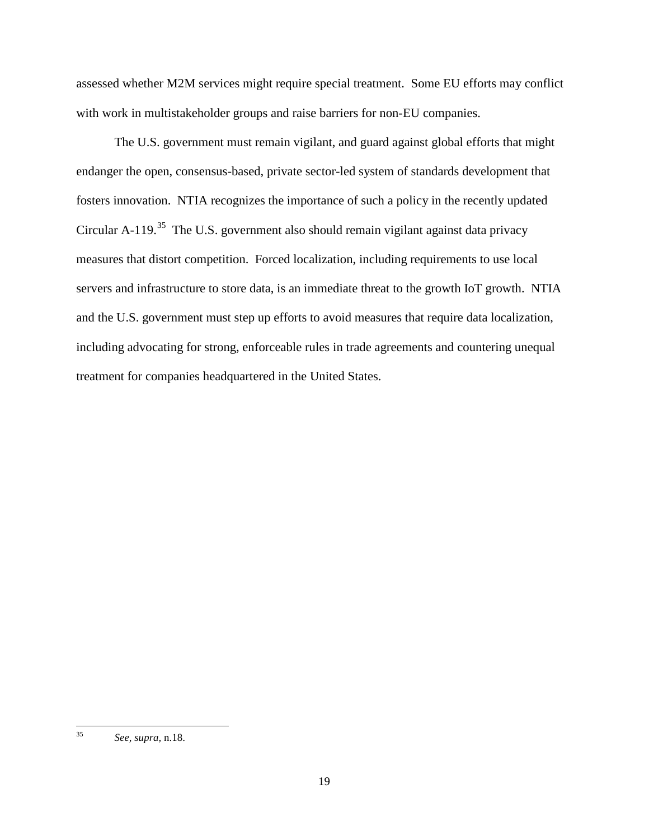assessed whether M2M services might require special treatment. Some EU efforts may conflict with work in multistakeholder groups and raise barriers for non-EU companies.

The U.S. government must remain vigilant, and guard against global efforts that might endanger the open, consensus-based, private sector-led system of standards development that fosters innovation. NTIA recognizes the importance of such a policy in the recently updated Circular A-119.<sup>35</sup> The U.S. government also should remain vigilant against data privacy measures that distort competition. Forced localization, including requirements to use local servers and infrastructure to store data, is an immediate threat to the growth IoT growth. NTIA and the U.S. government must step up efforts to avoid measures that require data localization, including advocating for strong, enforceable rules in trade agreements and countering unequal treatment for companies headquartered in the United States.

<span id="page-20-0"></span> <sup>35</sup> *See, supra,* n.18.